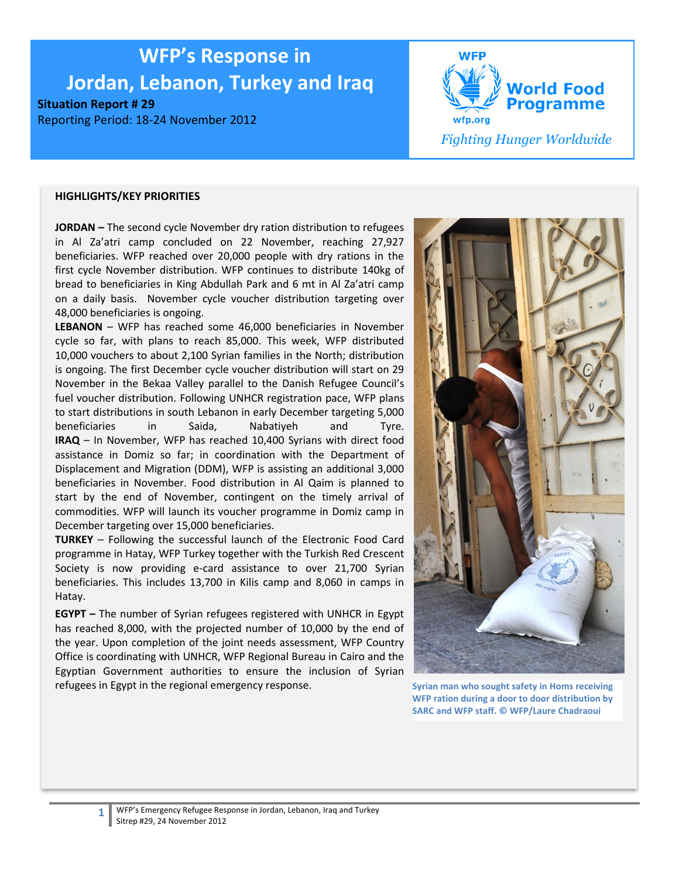# **WFP's Response in**

**Jordan, Lebanon, Turkey and Iraq**

**Situation Report # 29**

Reporting Period: 18-24 November 2012



#### **HIGHLIGHTS/KEY PRIORITIES**

**JORDAN –** The second cycle November dry ration distribution to refugees in Al Za'atri camp concluded on 22 November, reaching 27,927 beneficiaries. WFP reached over 20,000 people with dry rations in the first cycle November distribution. WFP continues to distribute 140kg of bread to beneficiaries in King Abdullah Park and 6 mt in Al Za'atri camp on a daily basis. November cycle voucher distribution targeting over 48,000 beneficiaries is ongoing.

**LEBANON** – WFP has reached some 46,000 beneficiaries in November cycle so far, with plans to reach 85,000. This week, WFP distributed 10,000 vouchers to about 2,100 Syrian families in the North; distribution is ongoing. The first December cycle voucher distribution will start on 29 November in the Bekaa Valley parallel to the Danish Refugee Council's fuel voucher distribution. Following UNHCR registration pace, WFP plans to start distributions in south Lebanon in early December targeting 5,000 beneficiaries in Saida, Nabatiyeh and Tyre. **IRAQ** – In November, WFP has reached 10,400 Syrians with direct food assistance in Domiz so far; in coordination with the Department of Displacement and Migration (DDM), WFP is assisting an additional 3,000 beneficiaries in November. Food distribution in Al Qaim is planned to start by the end of November, contingent on the timely arrival of commodities. WFP will launch its voucher programme in Domiz camp in December targeting over 15,000 beneficiaries.

**TURKEY** – Following the successful launch of the Electronic Food Card programme in Hatay, WFP Turkey together with the Turkish Red Crescent Society is now providing e-card assistance to over 21,700 Syrian beneficiaries. This includes 13,700 in Kilis camp and 8,060 in camps in Hatay.

**EGYPT –** The number of Syrian refugees registered with UNHCR in Egypt has reached 8,000, with the projected number of 10,000 by the end of the year. Upon completion of the joint needs assessment, WFP Country Office is coordinating with UNHCR, WFP Regional Bureau in Cairo and the Egyptian Government authorities to ensure the inclusion of Syrian refugees in Egypt in the regional emergency response. **Syrian man who sought safety in Homs receiving** 



**WFP ration during a door to door distribution by SARC and WFP staff. © WFP/Laure Chadraoui**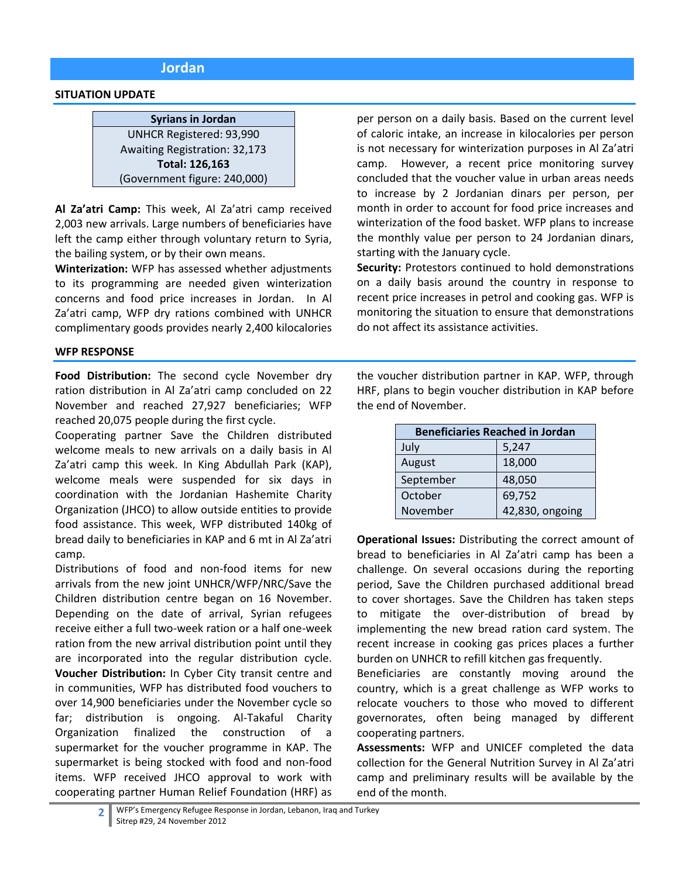# **Jordan**

#### **SITUATION UPDATE**

**Syrians in Jordan** UNHCR Registered: 93,990 Awaiting Registration: 32,173 **Total: 126,163** (Government figure: 240,000)

**Al Za'atri Camp:** This week, Al Za'atri camp received 2,003 new arrivals. Large numbers of beneficiaries have left the camp either through voluntary return to Syria, the bailing system, or by their own means.

**Winterization:** WFP has assessed whether adjustments to its programming are needed given winterization concerns and food price increases in Jordan. In Al Za'atri camp, WFP dry rations combined with UNHCR complimentary goods provides nearly 2,400 kilocalories

#### **WFP RESPONSE**

**Food Distribution:** The second cycle November dry ration distribution in Al Za'atri camp concluded on 22 November and reached 27,927 beneficiaries; WFP reached 20,075 people during the first cycle.

Cooperating partner Save the Children distributed welcome meals to new arrivals on a daily basis in Al Za'atri camp this week. In King Abdullah Park (KAP), welcome meals were suspended for six days in coordination with the Jordanian Hashemite Charity Organization (JHCO) to allow outside entities to provide food assistance. This week, WFP distributed 140kg of bread daily to beneficiaries in KAP and 6 mt in Al Za'atri camp.

Distributions of food and non-food items for new arrivals from the new joint UNHCR/WFP/NRC/Save the Children distribution centre began on 16 November. Depending on the date of arrival, Syrian refugees receive either a full two-week ration or a half one-week ration from the new arrival distribution point until they are incorporated into the regular distribution cycle. **Voucher Distribution:** In Cyber City transit centre and in communities, WFP has distributed food vouchers to over 14,900 beneficiaries under the November cycle so far; distribution is ongoing. Al-Takaful Charity Organization finalized the construction of a supermarket for the voucher programme in KAP. The supermarket is being stocked with food and non-food items. WFP received JHCO approval to work with cooperating partner Human Relief Foundation (HRF) as

per person on a daily basis. Based on the current level of caloric intake, an increase in kilocalories per person is not necessary for winterization purposes in Al Za'atri camp. However, a recent price monitoring survey concluded that the voucher value in urban areas needs to increase by 2 Jordanian dinars per person, per month in order to account for food price increases and winterization of the food basket. WFP plans to increase the monthly value per person to 24 Jordanian dinars, starting with the January cycle.

**Security:** Protestors continued to hold demonstrations on a daily basis around the country in response to recent price increases in petrol and cooking gas. WFP is monitoring the situation to ensure that demonstrations do not affect its assistance activities.

the voucher distribution partner in KAP. WFP, through HRF, plans to begin voucher distribution in KAP before the end of November.

| <b>Beneficiaries Reached in Jordan</b> |        |  |  |  |
|----------------------------------------|--------|--|--|--|
| July                                   | 5,247  |  |  |  |
| 18,000<br>August                       |        |  |  |  |
| September                              | 48,050 |  |  |  |
| 69,752<br>October                      |        |  |  |  |
| 42,830, ongoing<br>November            |        |  |  |  |

**Operational Issues:** Distributing the correct amount of bread to beneficiaries in Al Za'atri camp has been a challenge. On several occasions during the reporting period, Save the Children purchased additional bread to cover shortages. Save the Children has taken steps to mitigate the over-distribution of bread by implementing the new bread ration card system. The recent increase in cooking gas prices places a further burden on UNHCR to refill kitchen gas frequently.

Beneficiaries are constantly moving around the country, which is a great challenge as WFP works to relocate vouchers to those who moved to different governorates, often being managed by different cooperating partners.

**Assessments:** WFP and UNICEF completed the data collection for the General Nutrition Survey in Al Za'atri camp and preliminary results will be available by the end of the month.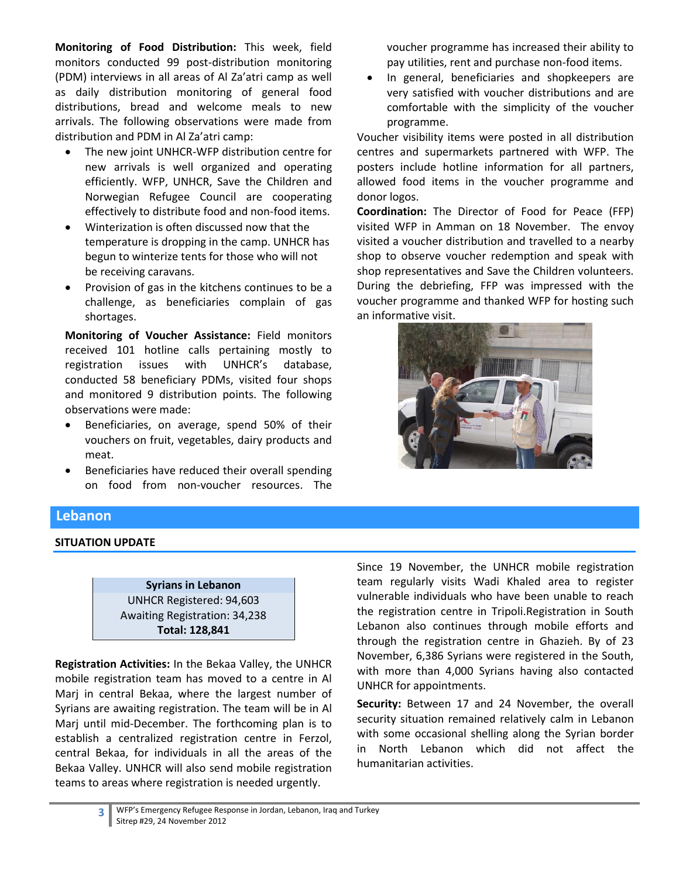**Monitoring of Food Distribution:** This week, field monitors conducted 99 post-distribution monitoring (PDM) interviews in all areas of Al Za'atri camp as well as daily distribution monitoring of general food distributions, bread and welcome meals to new arrivals. The following observations were made from distribution and PDM in Al Za'atri camp:

- The new joint UNHCR-WFP distribution centre for new arrivals is well organized and operating efficiently. WFP, UNHCR, Save the Children and Norwegian Refugee Council are cooperating effectively to distribute food and non-food items.
- Winterization is often discussed now that the temperature is dropping in the camp. UNHCR has begun to winterize tents for those who will not be receiving caravans.
- Provision of gas in the kitchens continues to be a challenge, as beneficiaries complain of gas shortages.

**Monitoring of Voucher Assistance:** Field monitors received 101 hotline calls pertaining mostly to registration issues with UNHCR's database, conducted 58 beneficiary PDMs, visited four shops and monitored 9 distribution points. The following observations were made:

- Beneficiaries, on average, spend 50% of their vouchers on fruit, vegetables, dairy products and meat.
- Beneficiaries have reduced their overall spending on food from non-voucher resources. The

voucher programme has increased their ability to pay utilities, rent and purchase non-food items.

 In general, beneficiaries and shopkeepers are very satisfied with voucher distributions and are comfortable with the simplicity of the voucher programme.

Voucher visibility items were posted in all distribution centres and supermarkets partnered with WFP. The posters include hotline information for all partners, allowed food items in the voucher programme and donor logos.

**Coordination:** The Director of Food for Peace (FFP) visited WFP in Amman on 18 November. The envoy visited a voucher distribution and travelled to a nearby shop to observe voucher redemption and speak with shop representatives and Save the Children volunteers. During the debriefing, FFP was impressed with the voucher programme and thanked WFP for hosting such an informative visit.



# **Lebanon**

## **SITUATION UPDATE**

**Syrians in Lebanon** UNHCR Registered: 94,603 Awaiting Registration: 34,238 **Total: 128,841**

**Registration Activities:** In the Bekaa Valley, the UNHCR mobile registration team has moved to a centre in Al Marj in central Bekaa, where the largest number of Syrians are awaiting registration. The team will be in Al Marj until mid-December. The forthcoming plan is to establish a centralized registration centre in Ferzol, central Bekaa, for individuals in all the areas of the Bekaa Valley. UNHCR will also send mobile registration teams to areas where registration is needed urgently.

Since 19 November, the UNHCR mobile registration team regularly visits Wadi Khaled area to register vulnerable individuals who have been unable to reach the registration centre in Tripoli.Registration in South Lebanon also continues through mobile efforts and through the registration centre in Ghazieh. By of 23 November, 6,386 Syrians were registered in the South, with more than 4,000 Syrians having also contacted UNHCR for appointments.

**Security:** Between 17 and 24 November, the overall security situation remained relatively calm in Lebanon with some occasional shelling along the Syrian border in North Lebanon which did not affect the humanitarian activities.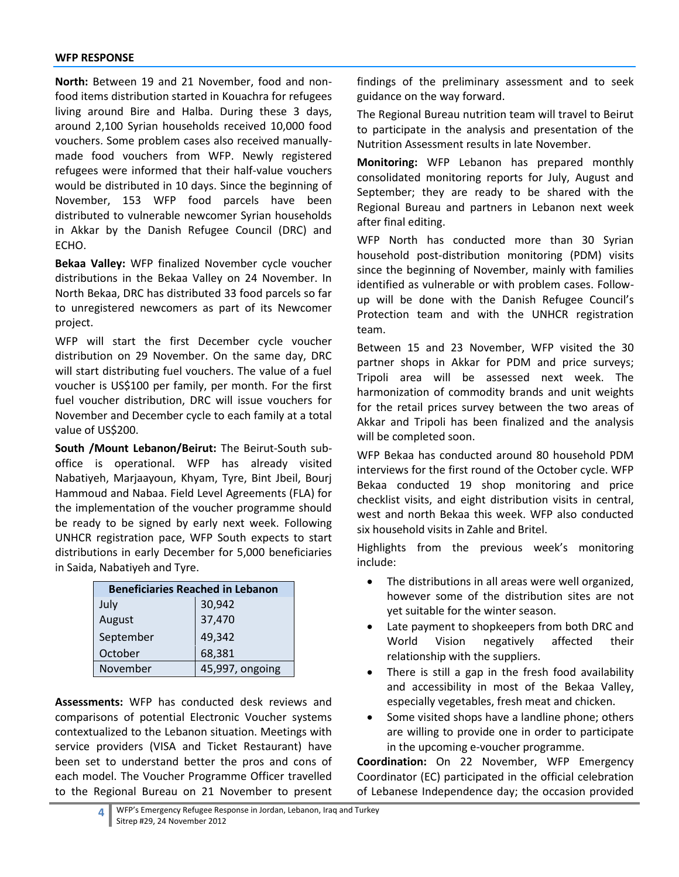**North:** Between 19 and 21 November, food and nonfood items distribution started in Kouachra for refugees living around Bire and Halba. During these 3 days, around 2,100 Syrian households received 10,000 food vouchers. Some problem cases also received manuallymade food vouchers from WFP. Newly registered refugees were informed that their half-value vouchers would be distributed in 10 days. Since the beginning of November, 153 WFP food parcels have been distributed to vulnerable newcomer Syrian households in Akkar by the Danish Refugee Council (DRC) and ECHO.

**Bekaa Valley:** WFP finalized November cycle voucher distributions in the Bekaa Valley on 24 November. In North Bekaa, DRC has distributed 33 food parcels so far to unregistered newcomers as part of its Newcomer project.

WFP will start the first December cycle voucher distribution on 29 November. On the same day, DRC will start distributing fuel vouchers. The value of a fuel voucher is US\$100 per family, per month. For the first fuel voucher distribution, DRC will issue vouchers for November and December cycle to each family at a total value of US\$200.

**South /Mount Lebanon/Beirut:** The Beirut-South suboffice is operational. WFP has already visited Nabatiyeh, Marjaayoun, Khyam, Tyre, Bint Jbeil, Bourj Hammoud and Nabaa. Field Level Agreements (FLA) for the implementation of the voucher programme should be ready to be signed by early next week. Following UNHCR registration pace, WFP South expects to start distributions in early December for 5,000 beneficiaries in Saida, Nabatiyeh and Tyre.

| <b>Beneficiaries Reached in Lebanon</b> |                 |  |  |  |
|-----------------------------------------|-----------------|--|--|--|
| July                                    | 30,942          |  |  |  |
| August                                  | 37,470          |  |  |  |
| September                               | 49,342          |  |  |  |
| October                                 | 68,381          |  |  |  |
| November                                | 45,997, ongoing |  |  |  |

**Assessments:** WFP has conducted desk reviews and comparisons of potential Electronic Voucher systems contextualized to the Lebanon situation. Meetings with service providers (VISA and Ticket Restaurant) have been set to understand better the pros and cons of each model. The Voucher Programme Officer travelled to the Regional Bureau on 21 November to present

findings of the preliminary assessment and to seek guidance on the way forward.

The Regional Bureau nutrition team will travel to Beirut to participate in the analysis and presentation of the Nutrition Assessment results in late November.

**Monitoring:** WFP Lebanon has prepared monthly consolidated monitoring reports for July, August and September; they are ready to be shared with the Regional Bureau and partners in Lebanon next week after final editing.

WFP North has conducted more than 30 Syrian household post-distribution monitoring (PDM) visits since the beginning of November, mainly with families identified as vulnerable or with problem cases. Followup will be done with the Danish Refugee Council's Protection team and with the UNHCR registration team.

Between 15 and 23 November, WFP visited the 30 partner shops in Akkar for PDM and price surveys; Tripoli area will be assessed next week. The harmonization of commodity brands and unit weights for the retail prices survey between the two areas of Akkar and Tripoli has been finalized and the analysis will be completed soon.

WFP Bekaa has conducted around 80 household PDM interviews for the first round of the October cycle. WFP Bekaa conducted 19 shop monitoring and price checklist visits, and eight distribution visits in central, west and north Bekaa this week. WFP also conducted six household visits in Zahle and Britel.

Highlights from the previous week's monitoring include:

- The distributions in all areas were well organized, however some of the distribution sites are not yet suitable for the winter season.
- Late payment to shopkeepers from both DRC and World Vision negatively affected their relationship with the suppliers.
- There is still a gap in the fresh food availability and accessibility in most of the Bekaa Valley, especially vegetables, fresh meat and chicken.
- Some visited shops have a landline phone; others are willing to provide one in order to participate in the upcoming e-voucher programme.

**Coordination:** On 22 November, WFP Emergency Coordinator (EC) participated in the official celebration of Lebanese Independence day; the occasion provided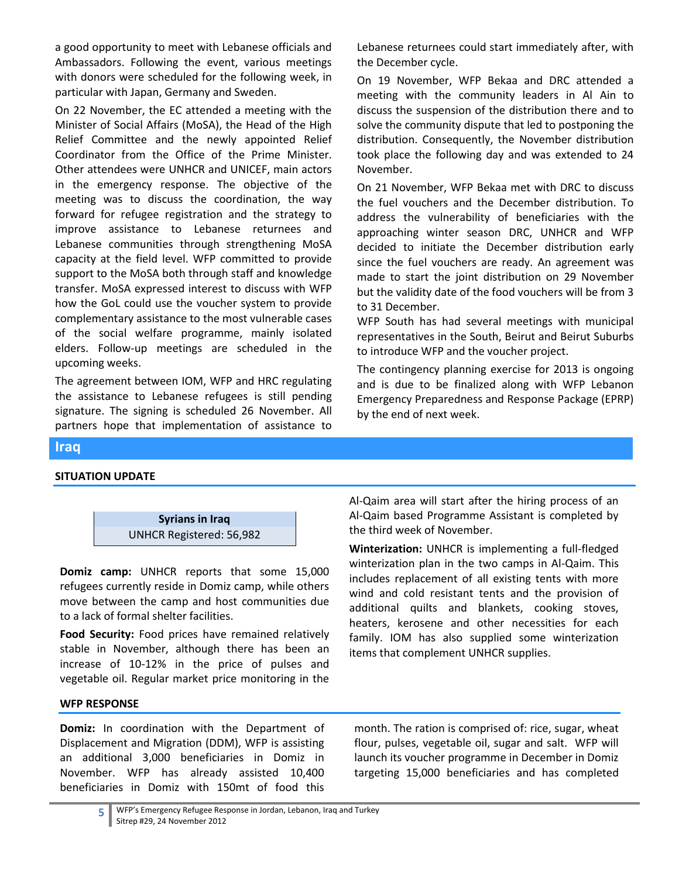a good opportunity to meet with Lebanese officials and Ambassadors. Following the event, various meetings with donors were scheduled for the following week, in particular with Japan, Germany and Sweden.

On 22 November, the EC attended a meeting with the Minister of Social Affairs (MoSA), the Head of the High Relief Committee and the newly appointed Relief Coordinator from the Office of the Prime Minister. Other attendees were UNHCR and UNICEF, main actors in the emergency response. The objective of the meeting was to discuss the coordination, the way forward for refugee registration and the strategy to improve assistance to Lebanese returnees and Lebanese communities through strengthening MoSA capacity at the field level. WFP committed to provide support to the MoSA both through staff and knowledge transfer. MoSA expressed interest to discuss with WFP how the GoL could use the voucher system to provide complementary assistance to the most vulnerable cases of the social welfare programme, mainly isolated elders. Follow-up meetings are scheduled in the upcoming weeks.

The agreement between IOM, WFP and HRC regulating the assistance to Lebanese refugees is still pending signature. The signing is scheduled 26 November. All partners hope that implementation of assistance to

Lebanese returnees could start immediately after, with the December cycle.

On 19 November, WFP Bekaa and DRC attended a meeting with the community leaders in Al Ain to discuss the suspension of the distribution there and to solve the community dispute that led to postponing the distribution. Consequently, the November distribution took place the following day and was extended to 24 November.

On 21 November, WFP Bekaa met with DRC to discuss the fuel vouchers and the December distribution. To address the vulnerability of beneficiaries with the approaching winter season DRC, UNHCR and WFP decided to initiate the December distribution early since the fuel vouchers are ready. An agreement was made to start the joint distribution on 29 November but the validity date of the food vouchers will be from 3 to 31 December.

WFP South has had several meetings with municipal representatives in the South, Beirut and Beirut Suburbs to introduce WFP and the voucher project.

The contingency planning exercise for 2013 is ongoing and is due to be finalized along with WFP Lebanon Emergency Preparedness and Response Package (EPRP) by the end of next week.

## **Iraq**

## **SITUATION UPDATE**



**Domiz camp:** UNHCR reports that some 15,000 refugees currently reside in Domiz camp, while others move between the camp and host communities due to a lack of formal shelter facilities.

**Food Security:** Food prices have remained relatively stable in November, although there has been an increase of 10-12% in the price of pulses and vegetable oil. Regular market price monitoring in the

# **Winterization:** UNHCR is implementing a full-fledged winterization plan in the two camps in Al-Qaim. This includes replacement of all existing tents with more

the third week of November.

wind and cold resistant tents and the provision of additional quilts and blankets, cooking stoves, heaters, kerosene and other necessities for each family. IOM has also supplied some winterization items that complement UNHCR supplies.

Al-Qaim area will start after the hiring process of an Al-Qaim based Programme Assistant is completed by

# **WFP RESPONSE**

**Domiz:** In coordination with the Department of Displacement and Migration (DDM), WFP is assisting an additional 3,000 beneficiaries in Domiz in November. WFP has already assisted 10,400 beneficiaries in Domiz with 150mt of food this

month. The ration is comprised of: rice, sugar, wheat flour, pulses, vegetable oil, sugar and salt. WFP will launch its voucher programme in December in Domiz targeting 15,000 beneficiaries and has completed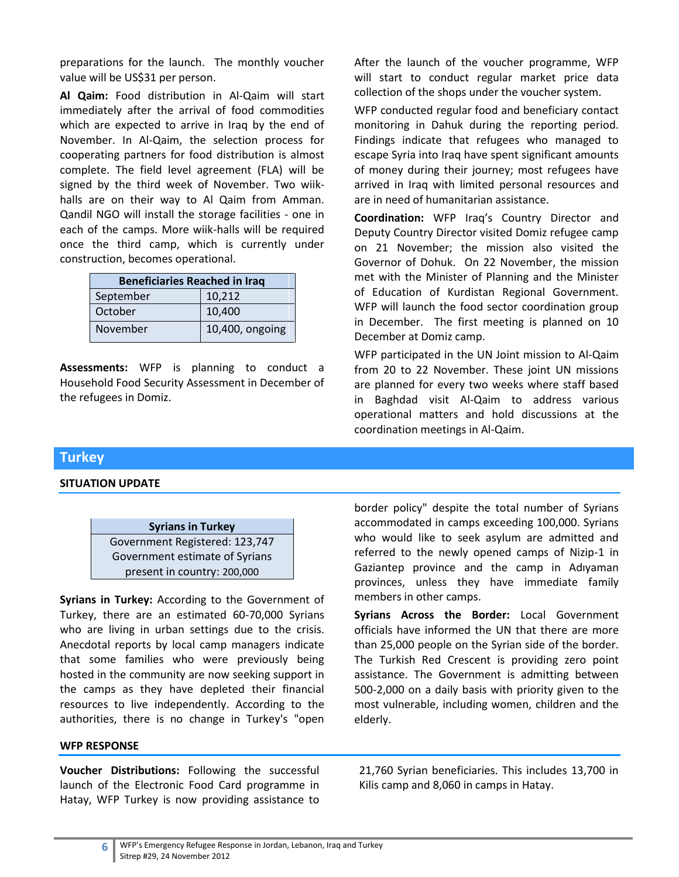preparations for the launch. The monthly voucher value will be US\$31 per person.

**Al Qaim:** Food distribution in Al-Qaim will start immediately after the arrival of food commodities which are expected to arrive in Iraq by the end of November. In Al-Qaim, the selection process for cooperating partners for food distribution is almost complete. The field level agreement (FLA) will be signed by the third week of November. Two wiikhalls are on their way to Al Qaim from Amman. Qandil NGO will install the storage facilities - one in each of the camps. More wiik-halls will be required once the third camp, which is currently under construction, becomes operational.

| <b>Beneficiaries Reached in Iraq</b> |                 |  |  |  |
|--------------------------------------|-----------------|--|--|--|
| September                            | 10,212          |  |  |  |
| October                              | 10,400          |  |  |  |
| November                             | 10,400, ongoing |  |  |  |

**Assessments:** WFP is planning to conduct a Household Food Security Assessment in December of the refugees in Domiz.

After the launch of the voucher programme, WFP will start to conduct regular market price data collection of the shops under the voucher system.

WFP conducted regular food and beneficiary contact monitoring in Dahuk during the reporting period. Findings indicate that refugees who managed to escape Syria into Iraq have spent significant amounts of money during their journey; most refugees have arrived in Iraq with limited personal resources and are in need of humanitarian assistance.

**Coordination:** WFP Iraq's Country Director and Deputy Country Director visited Domiz refugee camp on 21 November; the mission also visited the Governor of Dohuk. On 22 November, the mission met with the Minister of Planning and the Minister of Education of Kurdistan Regional Government. WFP will launch the food sector coordination group in December. The first meeting is planned on 10 December at Domiz camp.

WFP participated in the UN Joint mission to Al-Qaim from 20 to 22 November. These joint UN missions are planned for every two weeks where staff based in Baghdad visit Al-Qaim to address various operational matters and hold discussions at the coordination meetings in Al-Qaim.

# **Turkey**

#### **SITUATION UPDATE**



**Syrians in Turkey:** According to the Government of Turkey, there are an estimated 60-70,000 Syrians who are living in urban settings due to the crisis. Anecdotal reports by local camp managers indicate that some families who were previously being hosted in the community are now seeking support in the camps as they have depleted their financial resources to live independently. According to the authorities, there is no change in Turkey's "open

#### **WFP RESPONSE**

**Voucher Distributions:** Following the successful launch of the Electronic Food Card programme in Hatay, WFP Turkey is now providing assistance to

border policy" despite the total number of Syrians accommodated in camps exceeding 100,000. Syrians who would like to seek asylum are admitted and referred to the newly opened camps of Nizip-1 in Gaziantep province and the camp in Adıyaman provinces, unless they have immediate family members in other camps.

**Syrians Across the Border:** Local Government officials have informed the UN that there are more than 25,000 people on the Syrian side of the border. The Turkish Red Crescent is providing zero point assistance. The Government is admitting between 500-2,000 on a daily basis with priority given to the most vulnerable, including women, children and the elderly.

21,760 Syrian beneficiaries. This includes 13,700 in Kilis camp and 8,060 in camps in Hatay.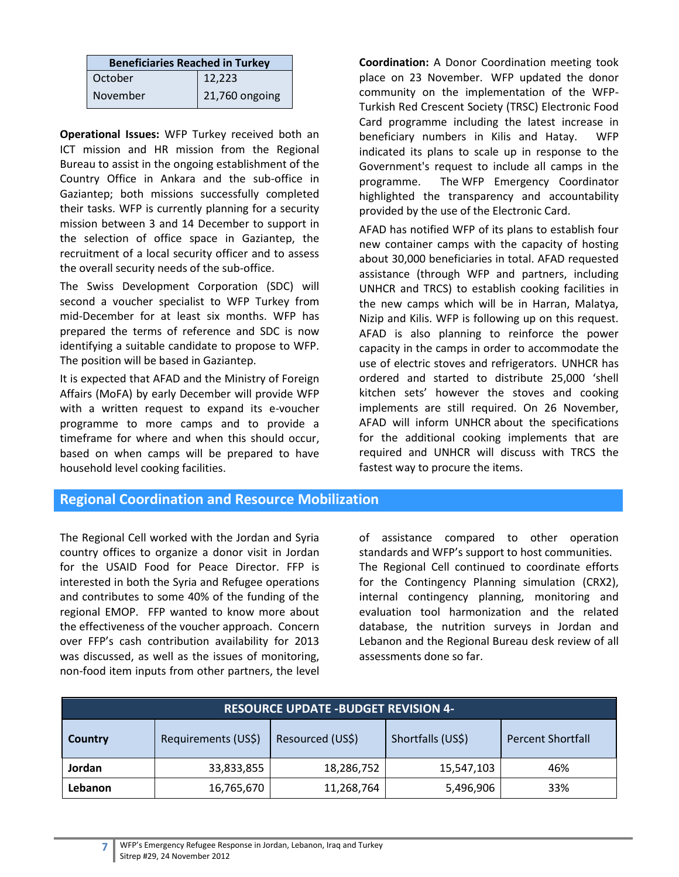| <b>Beneficiaries Reached in Turkey</b> |                |  |  |  |
|----------------------------------------|----------------|--|--|--|
| October                                | 12,223         |  |  |  |
| November                               | 21,760 ongoing |  |  |  |

**Operational Issues:** WFP Turkey received both an ICT mission and HR mission from the Regional Bureau to assist in the ongoing establishment of the Country Office in Ankara and the sub-office in Gaziantep; both missions successfully completed their tasks. WFP is currently planning for a security mission between 3 and 14 December to support in the selection of office space in Gaziantep, the recruitment of a local security officer and to assess the overall security needs of the sub-office.

The Swiss Development Corporation (SDC) will second a voucher specialist to WFP Turkey from mid-December for at least six months. WFP has prepared the terms of reference and SDC is now identifying a suitable candidate to propose to WFP. The position will be based in Gaziantep.

It is expected that AFAD and the Ministry of Foreign Affairs (MoFA) by early December will provide WFP with a written request to expand its e-voucher programme to more camps and to provide a timeframe for where and when this should occur, based on when camps will be prepared to have household level cooking facilities.

**Coordination:** A Donor Coordination meeting took place on 23 November. WFP updated the donor community on the implementation of the WFP-Turkish Red Crescent Society (TRSC) Electronic Food Card programme including the latest increase in beneficiary numbers in Kilis and Hatay. WFP indicated its plans to scale up in response to the Government's request to include all camps in the programme. The WFP Emergency Coordinator highlighted the transparency and accountability provided by the use of the Electronic Card.

AFAD has notified WFP of its plans to establish four new container camps with the capacity of hosting about 30,000 beneficiaries in total. AFAD requested assistance (through WFP and partners, including UNHCR and TRCS) to establish cooking facilities in the new camps which will be in Harran, Malatya, Nizip and Kilis. WFP is following up on this request. AFAD is also planning to reinforce the power capacity in the camps in order to accommodate the use of electric stoves and refrigerators. UNHCR has ordered and started to distribute 25,000 'shell kitchen sets' however the stoves and cooking implements are still required. On 26 November, AFAD will inform UNHCR about the specifications for the additional cooking implements that are required and UNHCR will discuss with TRCS the fastest way to procure the items.

## **Regional Coordination and Resource Mobilization**

The Regional Cell worked with the Jordan and Syria country offices to organize a donor visit in Jordan for the USAID Food for Peace Director. FFP is interested in both the Syria and Refugee operations and contributes to some 40% of the funding of the regional EMOP. FFP wanted to know more about the effectiveness of the voucher approach. Concern over FFP's cash contribution availability for 2013 was discussed, as well as the issues of monitoring, non-food item inputs from other partners, the level

of assistance compared to other operation standards and WFP's support to host communities. The Regional Cell continued to coordinate efforts for the Contingency Planning simulation (CRX2), internal contingency planning, monitoring and evaluation tool harmonization and the related database, the nutrition surveys in Jordan and Lebanon and the Regional Bureau desk review of all assessments done so far.

| <b>RESOURCE UPDATE -BUDGET REVISION 4-</b>                                                                 |            |            |            |     |  |  |  |  |
|------------------------------------------------------------------------------------------------------------|------------|------------|------------|-----|--|--|--|--|
| Shortfalls (US\$)<br>Resourced (US\$)<br>Requirements (US\$)<br><b>Percent Shortfall</b><br><b>Country</b> |            |            |            |     |  |  |  |  |
| Jordan                                                                                                     | 33,833,855 | 18,286,752 | 15,547,103 | 46% |  |  |  |  |
| Lebanon                                                                                                    | 16,765,670 | 11,268,764 | 5,496,906  | 33% |  |  |  |  |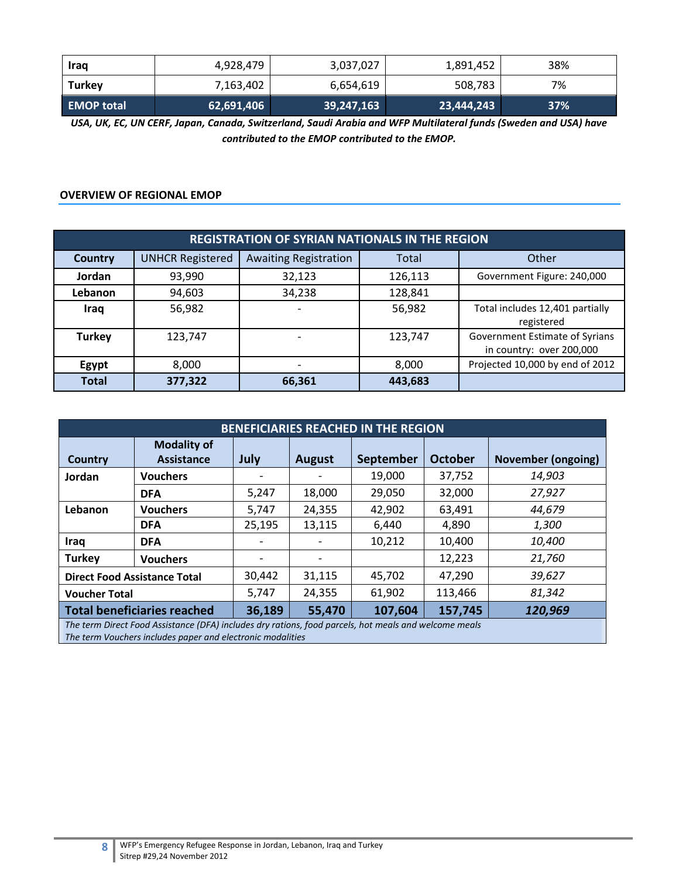| <b>Iraq</b>       | 4,928,479  | 3,037,027  | 1,891,452  | 38% |
|-------------------|------------|------------|------------|-----|
| Turkey            | 7,163,402  | 6,654,619  | 508,783    | 7%  |
| <b>EMOP total</b> | 62,691,406 | 39,247,163 | 23,444,243 | 37% |

*USA, UK, EC, UN CERF, Japan, Canada, Switzerland, Saudi Arabia and WFP Multilateral funds (Sweden and USA) have contributed to the EMOP contributed to the EMOP.*

## **OVERVIEW OF REGIONAL EMOP**

| <b>REGISTRATION OF SYRIAN NATIONALS IN THE REGION</b> |                         |                                       |         |                                                            |  |  |
|-------------------------------------------------------|-------------------------|---------------------------------------|---------|------------------------------------------------------------|--|--|
| <b>Country</b>                                        | <b>UNHCR Registered</b> | <b>Awaiting Registration</b><br>Total |         | Other                                                      |  |  |
| Jordan                                                | 93,990                  | 32,123<br>126,113                     |         | Government Figure: 240,000                                 |  |  |
| <b>Lebanon</b>                                        | 94,603                  | 34,238                                | 128,841 |                                                            |  |  |
| Iraq                                                  | 56,982                  |                                       | 56,982  | Total includes 12,401 partially<br>registered              |  |  |
| <b>Turkey</b>                                         | 123,747                 |                                       | 123,747 | Government Estimate of Syrians<br>in country: over 200,000 |  |  |
| Egypt                                                 | 8,000                   |                                       | 8,000   | Projected 10,000 by end of 2012                            |  |  |
| <b>Total</b>                                          | 377,322                 | 66,361                                | 443,683 |                                                            |  |  |

| <b>BENEFICIARIES REACHED IN THE REGION</b>                                                            |                    |        |               |           |                |                           |
|-------------------------------------------------------------------------------------------------------|--------------------|--------|---------------|-----------|----------------|---------------------------|
|                                                                                                       | <b>Modality of</b> |        |               |           |                |                           |
| Country                                                                                               | <b>Assistance</b>  | July   | <b>August</b> | September | <b>October</b> | <b>November (ongoing)</b> |
| Jordan                                                                                                | <b>Vouchers</b>    |        |               | 19,000    | 37,752         | 14,903                    |
|                                                                                                       | <b>DFA</b>         | 5,247  | 18,000        | 29,050    | 32,000         | 27,927                    |
| Lebanon                                                                                               | <b>Vouchers</b>    | 5,747  | 24,355        | 42,902    | 63,491         | 44,679                    |
|                                                                                                       | <b>DFA</b>         | 25,195 | 13,115        | 6,440     | 4,890          | 1,300                     |
| Iraq                                                                                                  | <b>DFA</b>         |        |               | 10,212    | 10,400         | 10,400                    |
| <b>Turkey</b>                                                                                         | <b>Vouchers</b>    |        |               |           | 12,223         | 21,760                    |
| <b>Direct Food Assistance Total</b>                                                                   |                    | 30,442 | 31,115        | 45,702    | 47,290         | 39,627                    |
| <b>Voucher Total</b>                                                                                  |                    | 5,747  | 24,355        | 61,902    | 113,466        | 81,342                    |
| <b>Total beneficiaries reached</b><br>36,189<br>107,604<br>55,470<br>157,745                          |                    |        |               | 120,969   |                |                           |
| The term Direct Food Assistance (DFA) includes dry rations, food parcels, hot meals and welcome meals |                    |        |               |           |                |                           |

*The term Vouchers includes paper and electronic modalities*